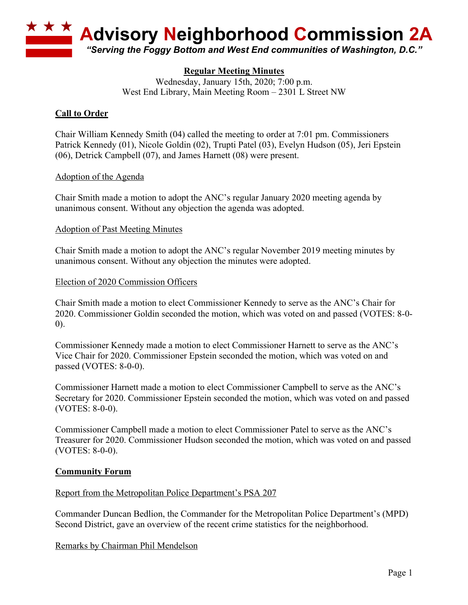

# **Regular Meeting Minutes**

Wednesday, January 15th, 2020; 7:00 p.m. West End Library, Main Meeting Room – 2301 L Street NW

## **Call to Order**

Chair William Kennedy Smith (04) called the meeting to order at 7:01 pm. Commissioners Patrick Kennedy (01), Nicole Goldin (02), Trupti Patel (03), Evelyn Hudson (05), Jeri Epstein (06), Detrick Campbell (07), and James Harnett (08) were present.

### Adoption of the Agenda

Chair Smith made a motion to adopt the ANC's regular January 2020 meeting agenda by unanimous consent. Without any objection the agenda was adopted.

#### Adoption of Past Meeting Minutes

Chair Smith made a motion to adopt the ANC's regular November 2019 meeting minutes by unanimous consent. Without any objection the minutes were adopted.

#### Election of 2020 Commission Officers

Chair Smith made a motion to elect Commissioner Kennedy to serve as the ANC's Chair for 2020. Commissioner Goldin seconded the motion, which was voted on and passed (VOTES: 8-0- 0).

Commissioner Kennedy made a motion to elect Commissioner Harnett to serve as the ANC's Vice Chair for 2020. Commissioner Epstein seconded the motion, which was voted on and passed (VOTES: 8-0-0).

Commissioner Harnett made a motion to elect Commissioner Campbell to serve as the ANC's Secretary for 2020. Commissioner Epstein seconded the motion, which was voted on and passed (VOTES: 8-0-0).

Commissioner Campbell made a motion to elect Commissioner Patel to serve as the ANC's Treasurer for 2020. Commissioner Hudson seconded the motion, which was voted on and passed (VOTES: 8-0-0).

### **Community Forum**

### Report from the Metropolitan Police Department's PSA 207

Commander Duncan Bedlion, the Commander for the Metropolitan Police Department's (MPD) Second District, gave an overview of the recent crime statistics for the neighborhood.

### Remarks by Chairman Phil Mendelson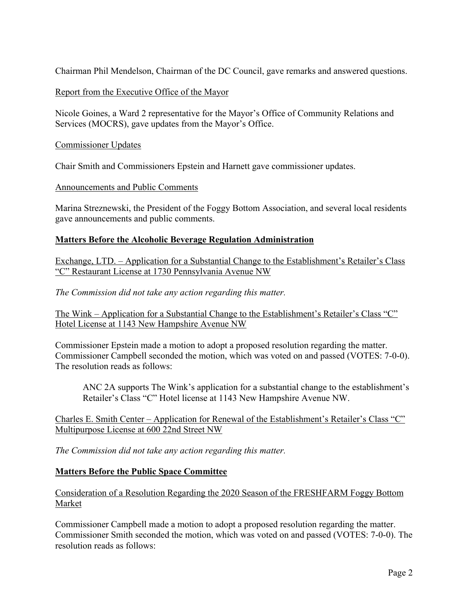Chairman Phil Mendelson, Chairman of the DC Council, gave remarks and answered questions.

## Report from the Executive Office of the Mayor

Nicole Goines, a Ward 2 representative for the Mayor's Office of Community Relations and Services (MOCRS), gave updates from the Mayor's Office.

### Commissioner Updates

Chair Smith and Commissioners Epstein and Harnett gave commissioner updates.

### Announcements and Public Comments

Marina Streznewski, the President of the Foggy Bottom Association, and several local residents gave announcements and public comments.

### **Matters Before the Alcoholic Beverage Regulation Administration**

Exchange, LTD. – Application for a Substantial Change to the Establishment's Retailer's Class "C" Restaurant License at 1730 Pennsylvania Avenue NW

*The Commission did not take any action regarding this matter.*

The Wink – Application for a Substantial Change to the Establishment's Retailer's Class "C" Hotel License at 1143 New Hampshire Avenue NW

Commissioner Epstein made a motion to adopt a proposed resolution regarding the matter. Commissioner Campbell seconded the motion, which was voted on and passed (VOTES: 7-0-0). The resolution reads as follows:

ANC 2A supports The Wink's application for a substantial change to the establishment's Retailer's Class "C" Hotel license at 1143 New Hampshire Avenue NW.

Charles E. Smith Center – Application for Renewal of the Establishment's Retailer's Class "C" Multipurpose License at 600 22nd Street NW

*The Commission did not take any action regarding this matter.*

### **Matters Before the Public Space Committee**

Consideration of a Resolution Regarding the 2020 Season of the FRESHFARM Foggy Bottom Market

Commissioner Campbell made a motion to adopt a proposed resolution regarding the matter. Commissioner Smith seconded the motion, which was voted on and passed (VOTES: 7-0-0). The resolution reads as follows: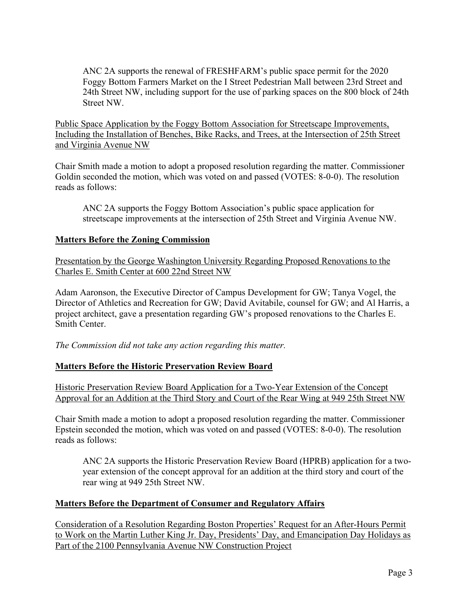ANC 2A supports the renewal of FRESHFARM's public space permit for the 2020 Foggy Bottom Farmers Market on the I Street Pedestrian Mall between 23rd Street and 24th Street NW, including support for the use of parking spaces on the 800 block of 24th Street NW.

Public Space Application by the Foggy Bottom Association for Streetscape Improvements, Including the Installation of Benches, Bike Racks, and Trees, at the Intersection of 25th Street and Virginia Avenue NW

Chair Smith made a motion to adopt a proposed resolution regarding the matter. Commissioner Goldin seconded the motion, which was voted on and passed (VOTES: 8-0-0). The resolution reads as follows:

ANC 2A supports the Foggy Bottom Association's public space application for streetscape improvements at the intersection of 25th Street and Virginia Avenue NW.

# **Matters Before the Zoning Commission**

Presentation by the George Washington University Regarding Proposed Renovations to the Charles E. Smith Center at 600 22nd Street NW

Adam Aaronson, the Executive Director of Campus Development for GW; Tanya Vogel, the Director of Athletics and Recreation for GW; David Avitabile, counsel for GW; and Al Harris, a project architect, gave a presentation regarding GW's proposed renovations to the Charles E. Smith Center.

*The Commission did not take any action regarding this matter.*

# **Matters Before the Historic Preservation Review Board**

Historic Preservation Review Board Application for a Two-Year Extension of the Concept Approval for an Addition at the Third Story and Court of the Rear Wing at 949 25th Street NW

Chair Smith made a motion to adopt a proposed resolution regarding the matter. Commissioner Epstein seconded the motion, which was voted on and passed (VOTES: 8-0-0). The resolution reads as follows:

ANC 2A supports the Historic Preservation Review Board (HPRB) application for a twoyear extension of the concept approval for an addition at the third story and court of the rear wing at 949 25th Street NW.

# **Matters Before the Department of Consumer and Regulatory Affairs**

Consideration of a Resolution Regarding Boston Properties' Request for an After-Hours Permit to Work on the Martin Luther King Jr. Day, Presidents' Day, and Emancipation Day Holidays as Part of the 2100 Pennsylvania Avenue NW Construction Project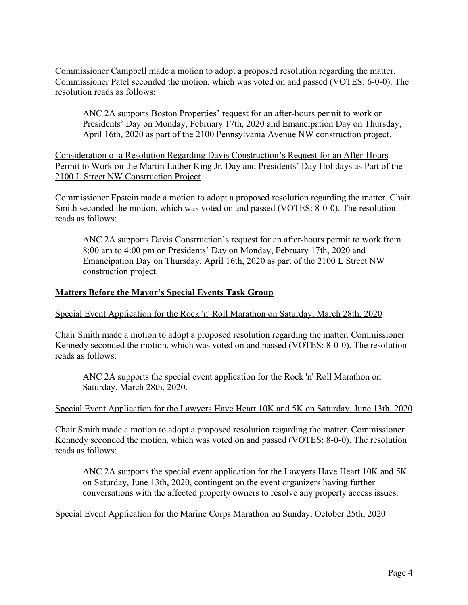Commissioner Campbell made a motion to adopt a proposed resolution regarding the matter. Commissioner Patel seconded the motion, which was voted on and passed (VOTES: 6-0-0). The resolution reads as follows:

ANC 2A supports Boston Properties' request for an after-hours permit to work on Presidents' Day on Monday, February 17th, 2020 and Emancipation Day on Thursday, April 16th, 2020 as part of the 2100 Pennsylvania Avenue NW construction project.

Consideration of a Resolution Regarding Davis Construction's Request for an After-Hours Permit to Work on the Martin Luther King Jr. Day and Presidents' Day Holidays as Part of the 2100 L Street NW Construction Project

Commissioner Epstein made a motion to adopt a proposed resolution regarding the matter. Chair Smith seconded the motion, which was voted on and passed (VOTES: 8-0-0). The resolution reads as follows:

ANC 2A supports Davis Construction's request for an after-hours permit to work from 8:00 am to 4:00 pm on Presidents' Day on Monday, February 17th, 2020 and Emancipation Day on Thursday, April 16th, 2020 as part of the 2100 L Street NW construction project.

### **Matters Before the Mayor's Special Events Task Group**

### Special Event Application for the Rock 'n' Roll Marathon on Saturday, March 28th, 2020

Chair Smith made a motion to adopt a proposed resolution regarding the matter. Commissioner Kennedy seconded the motion, which was voted on and passed (VOTES: 8-0-0). The resolution reads as follows:

ANC 2A supports the special event application for the Rock 'n' Roll Marathon on Saturday, March 28th, 2020.

### Special Event Application for the Lawyers Have Heart 10K and 5K on Saturday, June 13th, 2020

Chair Smith made a motion to adopt a proposed resolution regarding the matter. Commissioner Kennedy seconded the motion, which was voted on and passed (VOTES: 8-0-0). The resolution reads as follows:

ANC 2A supports the special event application for the Lawyers Have Heart 10K and 5K on Saturday, June 13th, 2020, contingent on the event organizers having further conversations with the affected property owners to resolve any property access issues.

### Special Event Application for the Marine Corps Marathon on Sunday, October 25th, 2020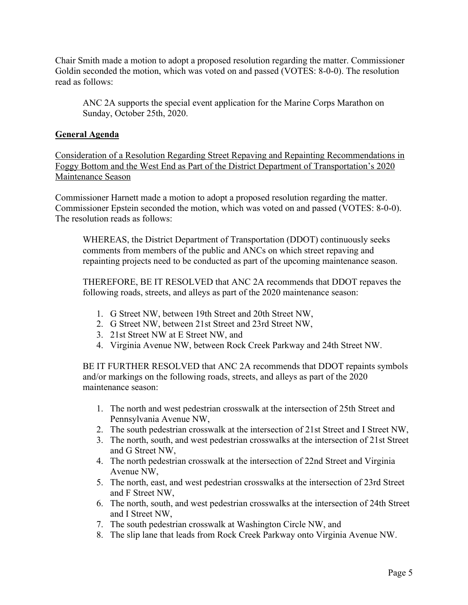Chair Smith made a motion to adopt a proposed resolution regarding the matter. Commissioner Goldin seconded the motion, which was voted on and passed (VOTES: 8-0-0). The resolution read as follows:

ANC 2A supports the special event application for the Marine Corps Marathon on Sunday, October 25th, 2020.

## **General Agenda**

Consideration of a Resolution Regarding Street Repaving and Repainting Recommendations in Foggy Bottom and the West End as Part of the District Department of Transportation's 2020 Maintenance Season

Commissioner Harnett made a motion to adopt a proposed resolution regarding the matter. Commissioner Epstein seconded the motion, which was voted on and passed (VOTES: 8-0-0). The resolution reads as follows:

WHEREAS, the District Department of Transportation (DDOT) continuously seeks comments from members of the public and ANCs on which street repaving and repainting projects need to be conducted as part of the upcoming maintenance season.

THEREFORE, BE IT RESOLVED that ANC 2A recommends that DDOT repaves the following roads, streets, and alleys as part of the 2020 maintenance season:

- 1. G Street NW, between 19th Street and 20th Street NW,
- 2. G Street NW, between 21st Street and 23rd Street NW,
- 3. 21st Street NW at E Street NW, and
- 4. Virginia Avenue NW, between Rock Creek Parkway and 24th Street NW.

BE IT FURTHER RESOLVED that ANC 2A recommends that DDOT repaints symbols and/or markings on the following roads, streets, and alleys as part of the 2020 maintenance season:

- 1. The north and west pedestrian crosswalk at the intersection of 25th Street and Pennsylvania Avenue NW,
- 2. The south pedestrian crosswalk at the intersection of 21st Street and I Street NW,
- 3. The north, south, and west pedestrian crosswalks at the intersection of 21st Street and G Street NW,
- 4. The north pedestrian crosswalk at the intersection of 22nd Street and Virginia Avenue NW,
- 5. The north, east, and west pedestrian crosswalks at the intersection of 23rd Street and F Street NW,
- 6. The north, south, and west pedestrian crosswalks at the intersection of 24th Street and I Street NW,
- 7. The south pedestrian crosswalk at Washington Circle NW, and
- 8. The slip lane that leads from Rock Creek Parkway onto Virginia Avenue NW.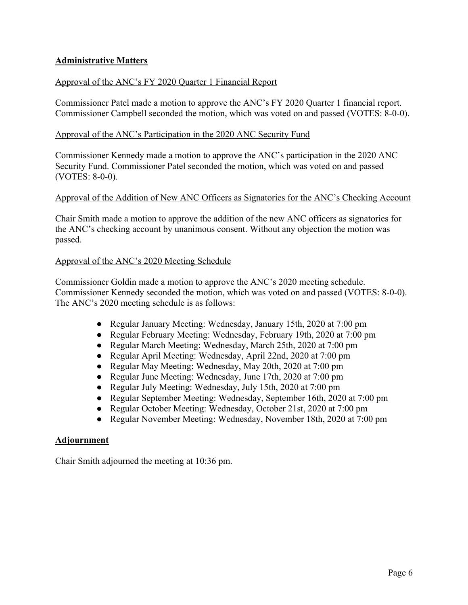# **Administrative Matters**

### Approval of the ANC's FY 2020 Quarter 1 Financial Report

Commissioner Patel made a motion to approve the ANC's FY 2020 Quarter 1 financial report. Commissioner Campbell seconded the motion, which was voted on and passed (VOTES: 8-0-0).

### Approval of the ANC's Participation in the 2020 ANC Security Fund

Commissioner Kennedy made a motion to approve the ANC's participation in the 2020 ANC Security Fund. Commissioner Patel seconded the motion, which was voted on and passed (VOTES: 8-0-0).

### Approval of the Addition of New ANC Officers as Signatories for the ANC's Checking Account

Chair Smith made a motion to approve the addition of the new ANC officers as signatories for the ANC's checking account by unanimous consent. Without any objection the motion was passed.

### Approval of the ANC's 2020 Meeting Schedule

Commissioner Goldin made a motion to approve the ANC's 2020 meeting schedule. Commissioner Kennedy seconded the motion, which was voted on and passed (VOTES: 8-0-0). The ANC's 2020 meeting schedule is as follows:

- Regular January Meeting: Wednesday, January 15th, 2020 at 7:00 pm
- Regular February Meeting: Wednesday, February 19th, 2020 at 7:00 pm
- Regular March Meeting: Wednesday, March 25th, 2020 at 7:00 pm
- Regular April Meeting: Wednesday, April 22nd, 2020 at 7:00 pm
- Regular May Meeting: Wednesday, May 20th, 2020 at 7:00 pm
- Regular June Meeting: Wednesday, June 17th, 2020 at 7:00 pm
- Regular July Meeting: Wednesday, July 15th, 2020 at 7:00 pm
- Regular September Meeting: Wednesday, September 16th, 2020 at 7:00 pm
- Regular October Meeting: Wednesday, October 21st, 2020 at 7:00 pm
- Regular November Meeting: Wednesday, November 18th, 2020 at 7:00 pm

### **Adjournment**

Chair Smith adjourned the meeting at 10:36 pm.